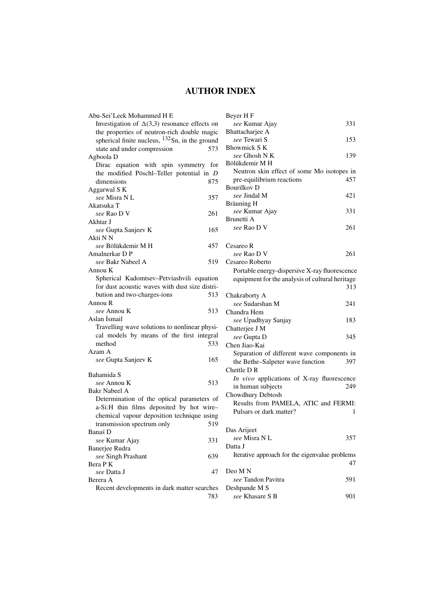# **AUTHOR INDEX**

| Abu-Sei'Leek Mohammed H E                           |     |
|-----------------------------------------------------|-----|
| Investigation of $\Delta(3,3)$ resonance effects on |     |
| the properties of neutron-rich double magic         |     |
| spherical finite nucleus, $132$ Sn, in the ground   |     |
| state and under compression                         | 573 |
| Agboola D                                           |     |
|                                                     |     |
| Dirac equation with spin symmetry for               |     |
| the modified Pöschl-Teller potential in D           |     |
| dimensions                                          | 875 |
| Aggarwal S K                                        |     |
| see Misra N L                                       | 357 |
| Akatsuka T                                          |     |
| see Rao D V                                         | 261 |
| Akhtar J                                            |     |
| see Gupta Sanjeev K                                 | 165 |
| Akti N N                                            |     |
| see Bölükdemir M H                                  | 457 |
| Amalnerkar D P                                      |     |
| see Bakr Nabeel A                                   | 519 |
| Annou K                                             |     |
| Spherical Kadomtsev-Petviashvili equation           |     |
| for dust acoustic waves with dust size distri-      |     |
|                                                     |     |
| bution and two-charges-ions                         | 513 |
| Annou R                                             |     |
| see Annou K                                         | 513 |
| Aslan İsmail                                        |     |
| Travelling wave solutions to nonlinear physi-       |     |
| cal models by means of the first integral           |     |
| method                                              | 533 |
| Azam A                                              |     |
| see Gupta Sanjeev K                                 | 165 |
|                                                     |     |
| Bahamida S                                          |     |
| see Annou K                                         | 513 |
| Bakr Nabeel A                                       |     |
| Determination of the optical parameters of          |     |
| a-Si:H thin films deposited by hot wire-            |     |
| chemical vapour deposition technique using          |     |
| transmission spectrum only                          | 519 |
|                                                     |     |
| Banaś D                                             |     |
| see Kumar Ajay                                      | 331 |
| Banerjee Rudra                                      |     |
| see Singh Prashant                                  | 639 |
| Bera PK                                             |     |
| see Datta J                                         | 47  |
| Berera A                                            |     |
| Recent developments in dark matter searches         |     |

| Beyer H F                                       |     |
|-------------------------------------------------|-----|
| see Kumar Ajay                                  | 331 |
| Bhattacharjee A                                 |     |
| see Tewari S                                    | 153 |
| <b>Bhowmick S K</b>                             |     |
| see Ghosh N K                                   | 139 |
| Bölükdemir M H                                  |     |
| Neutron skin effect of some Mo isotopes in      |     |
| pre-equilibrium reactions<br><b>Bourilkov D</b> | 457 |
| see Jindal M                                    | 421 |
| Bräuning H                                      |     |
| see Kumar Ajay                                  | 331 |
| Brunetti A                                      |     |
| see Rao D V                                     | 261 |
|                                                 |     |
| Cesareo R                                       |     |
| see Rao D V                                     | 261 |
| Cesareo Roberto                                 |     |
| Portable energy-dispersive X-ray fluorescence   |     |
| equipment for the analysis of cultural heritage |     |
|                                                 | 313 |
| Chakraborty A                                   |     |
| see Sudarshan M                                 | 241 |
| Chandra Hem                                     |     |
| see Upadhyay Sanjay                             | 183 |
| Chatterjee J M                                  |     |
| see Gupta D                                     | 345 |
| Chen Jiao-Kai                                   |     |
| Separation of different wave components in      |     |
| the Bethe-Salpeter wave function                | 397 |
| Chettle DR                                      |     |
| In vivo applications of X-ray fluorescence      |     |
| in human subjects                               | 249 |
| Chowdhury Debtosh                               |     |
| Results from PAMELA, ATIC and FERMI:            |     |
| Pulsars or dark matter?                         | 1   |
|                                                 |     |
| Das Arijeet                                     |     |
| see Misra N L                                   | 357 |
| Datta J                                         |     |
| Iterative approach for the eigenvalue problems  |     |
|                                                 | 47  |
| Deo MN                                          |     |
| see Tandon Pavitra                              | 591 |
| Deshpande M S                                   |     |

783 *see* Khasare S B 901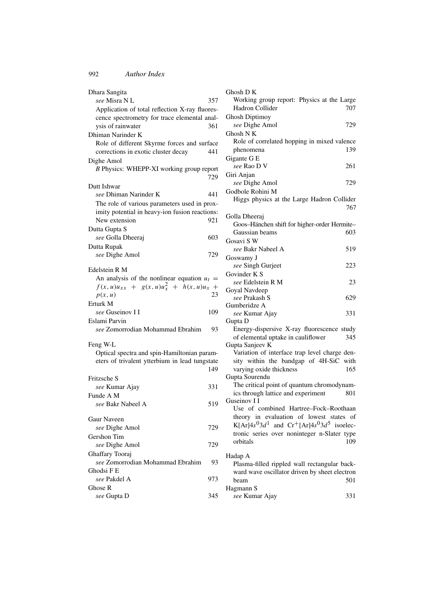| Dhara Sangita                                                                                  |     |
|------------------------------------------------------------------------------------------------|-----|
| see Misra N L                                                                                  | 357 |
| Application of total reflection X-ray fluores-                                                 |     |
| cence spectrometry for trace elemental anal-                                                   |     |
| ysis of rainwater                                                                              | 361 |
| Dhiman Narinder K                                                                              |     |
| Role of different Skyrme forces and surface                                                    |     |
| corrections in exotic cluster decay                                                            | 441 |
| Dighe Amol                                                                                     |     |
| B Physics: WHEPP-XI working group report                                                       |     |
|                                                                                                | 729 |
| Dutt Ishwar                                                                                    |     |
| see Dhiman Narinder K                                                                          | 441 |
| The role of various parameters used in prox-                                                   |     |
| imity potential in heavy-ion fusion reactions:                                                 |     |
| New extension                                                                                  | 921 |
| Dutta Gupta S                                                                                  |     |
| see Golla Dheeraj                                                                              | 603 |
| Dutta Rupak                                                                                    |     |
| see Dighe Amol                                                                                 | 729 |
|                                                                                                |     |
| Edelstein R M                                                                                  |     |
| An analysis of the nonlinear equation $u_t =$<br>$f(x, u)u_{xx} + g(x, u)u_x^2 + h(x, u)u_x +$ |     |
| p(x, u)                                                                                        | 23  |
| Erturk M                                                                                       |     |
| see Guseinov I I                                                                               | 109 |
| Eslami Parvin                                                                                  |     |
| see Zomorrodian Mohammad Ebrahim                                                               | 93  |
|                                                                                                |     |
| Feng W-L                                                                                       |     |
| Optical spectra and spin-Hamiltonian param-                                                    |     |
| eters of trivalent ytterbium in lead tungstate                                                 |     |
|                                                                                                | 149 |
| Fritzsche S                                                                                    |     |
| see Kumar Ajay                                                                                 | 331 |
| Funde A M                                                                                      |     |
| see Bakr Nabeel A                                                                              | 519 |
| Gaur Naveen                                                                                    |     |
|                                                                                                | 729 |
| see Dighe Amol                                                                                 |     |
| Gershon Tim<br>see Dighe Amol                                                                  |     |
|                                                                                                | 729 |
| Ghaffary Tooraj                                                                                |     |
| see Zomorrodian Mohammad Ebrahim                                                               | 93  |
| Ghodsi F E<br>see Pakdel A                                                                     |     |
| Ghose R                                                                                        | 973 |
| see Gupta D                                                                                    | 345 |
|                                                                                                |     |

| Ghosh DK                                             |
|------------------------------------------------------|
| Working group report: Physics at the Large           |
| Hadron Collider<br>707                               |
| <b>Ghosh Diptimoy</b>                                |
| see Dighe Amol<br>729                                |
| Ghosh N K                                            |
| Role of correlated hopping in mixed valence          |
| 139<br>phenomena                                     |
|                                                      |
| Gigante G E                                          |
| see Rao D V<br>261                                   |
| Giri Anjan                                           |
| see Dighe Amol<br>729                                |
| Godbole Rohini M                                     |
| Higgs physics at the Large Hadron Collider           |
| 767                                                  |
| Golla Dheeraj                                        |
| Goos-Hänchen shift for higher-order Hermite-         |
| Gaussian beams<br>603                                |
| Gosavi S W                                           |
| see Bakr Nabeel A<br>519                             |
| Goswamy J                                            |
| 223                                                  |
| see Singh Gurjeet<br>Govinder K S                    |
|                                                      |
| see Edelstein R M<br>23                              |
| Goyal Navdeep<br>see Prakash S                       |
| 629                                                  |
| Gumberidze A                                         |
| see Kumar Ajay<br>331                                |
| Gupta D                                              |
| Energy-dispersive X-ray fluorescence study           |
| 345<br>of elemental uptake in cauliflower            |
| Gupta Sanjeev K                                      |
| Variation of interface trap level charge den-        |
| sity within the bandgap of 4H-SiC with               |
| varying oxide thickness<br>165                       |
| Gupta Sourendu                                       |
| The critical point of quantum chromodynam-           |
| ics through lattice and experiment<br>801            |
| Guseinov I I                                         |
| Use of combined Hartree-Fock-Roothaan                |
| theory in evaluation of lowest states of             |
| K[Ar] $4s^03d^1$ and $Cr^+$ [Ar] $4s^03d^5$ isoelec- |
| tronic series over noninteger n-Slater type          |
| orbitals<br>109                                      |
|                                                      |
| Hadap A                                              |
| Plasma-filled rippled wall rectangular back-         |
| ward wave oscillator driven by sheet electron        |
| 501<br>beam                                          |
| Hagmann S                                            |

*see* Kumar Ajay 331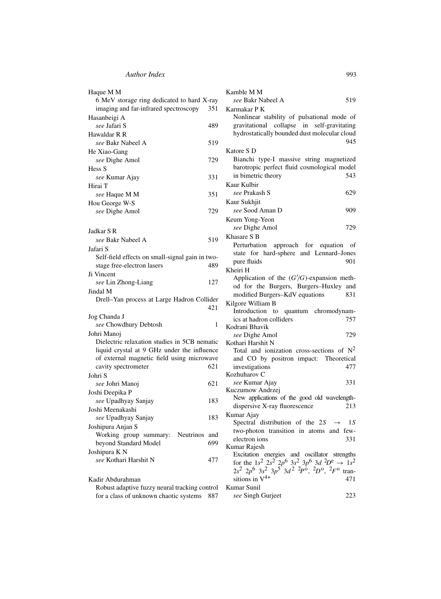| Haque M M                                       | Kamble M M                                                                        |
|-------------------------------------------------|-----------------------------------------------------------------------------------|
| 6 MeV storage ring dedicated to hard X-ray      | see Bakr Nabeel A<br>519                                                          |
| imaging and far-infrared spectroscopy<br>351    | Karmakar P K                                                                      |
| Hasanbeigi A                                    | Nonlinear stability of pulsational mode of                                        |
| see Jafari S<br>489                             | gravitational collapse in self-gravitating                                        |
| Hawaldar R R                                    | hydrostatically bounded dust molecular cloud                                      |
| see Bakr Nabeel A<br>519                        | 945                                                                               |
| He Xiao-Gang                                    | Katore S D                                                                        |
| 729<br>see Dighe Amol                           | Bianchi type-I massive string magnetized                                          |
| Hess S                                          | barotropic perfect fluid cosmological model                                       |
| see Kumar Ajay<br>331                           | in bimetric theory<br>543                                                         |
| Hirai T                                         | Kaur Kulbir                                                                       |
| 351<br>see Haque M M                            | see Prakash S<br>629                                                              |
| Hou George W-S                                  | Kaur Sukhjit                                                                      |
| 729<br>see Dighe Amol                           | see Sood Aman D<br>909                                                            |
|                                                 | Keum Yong-Yeon                                                                    |
|                                                 | 729<br>see Dighe Amol                                                             |
| Jadkar S R                                      | Khasare S B                                                                       |
| see Bakr Nabeel A<br>519                        |                                                                                   |
| Jafari S                                        | Perturbation approach for equation of                                             |
| Self-field effects on small-signal gain in two- | state for hard-sphere and Lennard-Jones<br>pure fluids<br>901                     |
| 489<br>stage free-electron lasers               | Kheiri H                                                                          |
| Ji Vincent                                      | Application of the $(G/G)$ -expansion meth-                                       |
| 127<br>see Lin Zhong-Liang                      | od for the Burgers, Burgers-Huxley and                                            |
| Jindal M                                        | modified Burgers-KdV equations<br>831                                             |
| Drell-Yan process at Large Hadron Collider      | Kilgore William B                                                                 |
| 421                                             | Introduction to quantum chromodynam-                                              |
| Jog Chanda J                                    | ics at hadron colliders<br>757                                                    |
| see Chowdhury Debtosh<br>1                      | Kodrani Bhavik                                                                    |
| Johri Manoj                                     | 729<br>see Dighe Amol                                                             |
| Dielectric relaxation studies in 5CB nematic    | Kothari Harshit N                                                                 |
| liquid crystal at 9 GHz under the influence     | Total and ionization cross-sections of $N^2$                                      |
| of external magnetic field using microwave      | and CO by positron impact:<br>Theoretical                                         |
| 621<br>cavity spectrometer                      | investigations<br>477                                                             |
| Johri S                                         | Kozhuharov C                                                                      |
| 621<br><i>see</i> Johri Manoj                   | see Kumar Ajay<br>331                                                             |
| Joshi Deepika P                                 | Kuczumow Andrzej                                                                  |
| see Upadhyay Sanjay<br>183                      | New applications of the good old wavelength-                                      |
| Joshi Meenakashi                                | 213<br>dispersive X-ray fluorescence                                              |
| 183<br><i>see</i> Upadhyay Sanjay               | Kumar Ajay                                                                        |
| Joshipura Anjan S                               | Spectral distribution of the 2S $\rightarrow$<br>1 S                              |
| Working group summary:<br>Neutrinos and         | two-photon transition in atoms and few-                                           |
| beyond Standard Model<br>699                    | electron ions<br>331                                                              |
| Joshipura K N                                   | Kumar Rajesh                                                                      |
| see Kothari Harshit N<br>477                    | Excitation energies and oscillator strengths                                      |
|                                                 | for the 1s <sup>2</sup> $2s^2$ $2p^6$ $3s^2$ $3p^6$ $3d$ $^2D^e \rightarrow 1s^2$ |
|                                                 | $2s^2$ $2p^6$ $3s^2$ $3p^5$ $3d^2$ $2p^0$ , $2p^0$ , $2F^0$ tran-                 |
| Kadir Abdurahman                                | sitions in $V^{4+}$<br>471                                                        |

Robust adaptive fuzzy neural tracking control Kumar Sunil for a class of unknown chaotic systems 887 2*s*<sup>2</sup> 2*p*<sup>6</sup> 3*s*<sup>2</sup> 3*p*<sup>5</sup> 3*d* 2 2*P*o, <sup>2</sup>*D*o, <sup>2</sup>*F*<sup>o</sup> transitions in  $V^{4+}$  471 *see* Singh Gurjeet 223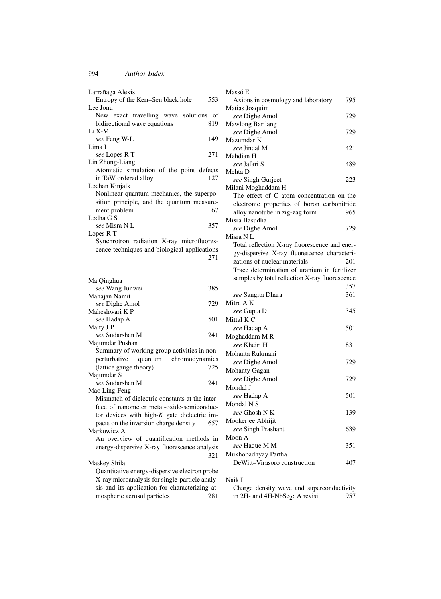| Larrañaga Alexis                                      |     |
|-------------------------------------------------------|-----|
| Entropy of the Kerr-Sen black hole                    | 553 |
| Lee Jonu<br>exact travelling wave solutions of<br>New |     |
| bidirectional wave equations                          | 819 |
| Li X-M                                                |     |
| see Feng W-L                                          | 149 |
| Lima I                                                |     |
| see Lopes R T                                         | 271 |
| Lin Zhong-Liang                                       |     |
| Atomistic simulation of the point defects             |     |
| in TaW ordered alloy                                  | 127 |
| Lochan Kinjalk                                        |     |
| Nonlinear quantum mechanics, the superpo-             |     |
| sition principle, and the quantum measure-            |     |
| ment problem                                          | 67  |
| Lodha G S                                             |     |
| <i>see</i> Misra N L                                  | 357 |
| Lopes R T                                             |     |
| Synchrotron radiation X-ray microfluores-             |     |
| cence techniques and biological applications          |     |
|                                                       | 271 |
|                                                       |     |
| Ma Qinghua                                            |     |
| see Wang Junwei                                       | 385 |
| Mahajan Namit                                         |     |
| see Dighe Amol                                        | 729 |
| Maheshwari K P                                        |     |
| see Hadap A                                           | 501 |
| Maity J P                                             |     |
| <i>see</i> Sudarshan M                                | 241 |
| Majumdar Pushan                                       |     |
| Summary of working group activities in non-           |     |
| perturbative<br>quantum chromodynamics                |     |
| (lattice gauge theory)                                | 725 |
| Majumdar S                                            |     |
| see Sudarshan M<br>Mao Ling-Feng                      | 241 |
| Mismatch of dielectric constants at the inter-        |     |
| face of nanometer metal-oxide-semiconduc-             |     |
| tor devices with high- $K$ gate dielectric im-        |     |
| pacts on the inversion charge density                 | 657 |
| Markowicz A                                           |     |
| An overview of quantification methods in              |     |
| energy-dispersive X-ray fluorescence analysis         |     |
|                                                       | 321 |
| Maskey Shila                                          |     |
| Quantitative energy-dispersive electron probe         |     |
| X-ray microanalysis for single-particle analy-        |     |
| sis and its application for characterizing at-        |     |
| mospheric aerosol particles                           | 281 |
|                                                       |     |

| Massó E                                        |     |
|------------------------------------------------|-----|
| Axions in cosmology and laboratory             | 795 |
| Matias Joaquim                                 |     |
| see Dighe Amol                                 | 729 |
| Mawlong Barilang                               |     |
| see Dighe Amol                                 | 729 |
| Mazumdar K                                     |     |
| see Jindal M                                   | 421 |
| Mehdian H                                      |     |
| see Jafari S<br>Mehta D                        | 489 |
| see Singh Gurjeet                              | 223 |
| Milani Moghaddam H                             |     |
| The effect of C atom concentration on the      |     |
| electronic properties of boron carbonitride    |     |
| alloy nanotube in zig-zag form                 | 965 |
| Misra Basudha                                  |     |
| see Dighe Amol                                 | 729 |
| Misra N L                                      |     |
| Total reflection X-ray fluorescence and ener-  |     |
| gy-dispersive X-ray fluorescence characteri-   |     |
| zations of nuclear materials                   | 201 |
| Trace determination of uranium in fertilizer   |     |
| samples by total reflection X-ray fluorescence |     |
|                                                | 357 |
| see Sangita Dhara                              | 361 |
| Mitra A K                                      |     |
| see Gupta D                                    | 345 |
| Mittal K C                                     |     |
| see Hadap A                                    | 501 |
| Moghaddam M R                                  |     |
| see Kheiri H                                   | 831 |
| Mohanta Rukmani                                |     |
| see Dighe Amol                                 | 729 |
| Mohanty Gagan                                  |     |
| see Dighe Amol                                 | 729 |
| Mondal J                                       |     |
| see Hadap A                                    | 501 |
| Mondal N S                                     |     |
| see Ghosh N K                                  | 139 |
| Mookerjee Abhijit                              |     |
| see Singh Prashant                             | 639 |
| Moon A                                         |     |
| see Haque M M                                  | 351 |
| Mukhopadhyay Partha                            |     |
| DeWitt-Virasoro construction                   | 407 |
|                                                |     |

## Naik I

| Charge density wave and superconductivity         |  |     |
|---------------------------------------------------|--|-----|
| in $2H$ - and $4H$ -NbSe <sub>2</sub> : A revisit |  | 957 |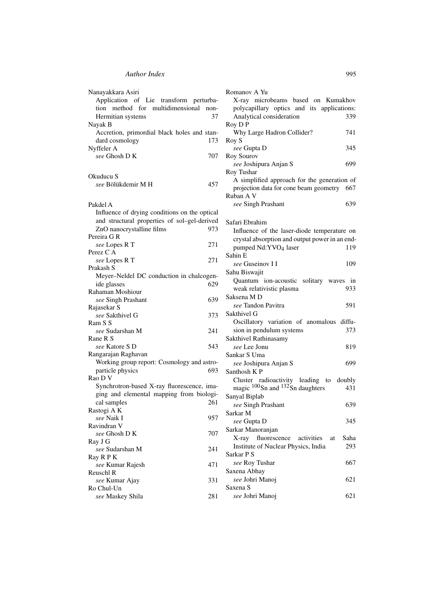| Nanayakkara Asiri                             | Romanov A Yu                                                              |
|-----------------------------------------------|---------------------------------------------------------------------------|
| Application of Lie transform perturba-        | X-ray microbeams based on Kumakhov                                        |
| tion method for multidimensional<br>non-      | polycapillary optics and its applications:                                |
| 37<br>Hermitian systems                       | Analytical consideration<br>339                                           |
| Nayak B                                       | Roy D P                                                                   |
| Accretion, primordial black holes and stan-   | Why Large Hadron Collider?<br>741                                         |
| dard cosmology<br>173                         | Roy S                                                                     |
| Nyffeler A                                    | 345<br>see Gupta D                                                        |
| see Ghosh D K<br>707                          | Roy Sourov                                                                |
|                                               | 699<br>see Joshipura Anjan S                                              |
|                                               | Roy Tushar                                                                |
| Okuducu S                                     | A simplified approach for the generation of                               |
| see Bölükdemir M H<br>457                     | projection data for cone beam geometry<br>667                             |
|                                               | Ruban A V                                                                 |
|                                               | 639<br>see Singh Prashant                                                 |
| Pakdel A                                      |                                                                           |
| Influence of drying conditions on the optical |                                                                           |
| and structural properties of sol-gel-derived  | Safari Ebrahim                                                            |
| ZnO nanocrystalline films<br>973              | Influence of the laser-diode temperature on                               |
| Pereira G R                                   | crystal absorption and output power in an end-                            |
| 271<br>see Lopes R T                          | pumped Nd:YVO <sub>4</sub> laser<br>119                                   |
| Perez C A                                     | Sahin E                                                                   |
| 271<br>see Lopes R T                          | see Guseinov I I<br>109                                                   |
| Prakash S                                     | Sahu Biswajit                                                             |
| Meyer-Neldel DC conduction in chalcogen-      |                                                                           |
| ide glasses<br>629                            | Quantum ion-acoustic solitary waves<br>in                                 |
| Rahaman Moshiour                              | weak relativistic plasma<br>933                                           |
| 639<br>see Singh Prashant                     | Saksena M D                                                               |
| Rajasekar S                                   | 591<br>see Tandon Pavitra                                                 |
| see Sakthivel G<br>373                        | Sakthivel G                                                               |
| Ram S S                                       | Oscillatory variation of anomalous diffu-                                 |
| 241<br>see Sudarshan M                        | sion in pendulum systems<br>373                                           |
| Rane R S                                      | Sakthivel Rathinasamy                                                     |
| see Katore S D<br>543                         | see Lee Jonu<br>819                                                       |
| Rangarajan Raghavan                           | Sankar S Uma                                                              |
| Working group report: Cosmology and astro-    | see Joshipura Anjan S<br>699                                              |
| particle physics<br>693                       | Santhosh K P                                                              |
| Rao D V                                       | doubly                                                                    |
| Synchrotron-based X-ray fluorescence, ima-    | Cluster radioactivity leading to<br>magic $100$ Sn and $132$ Sn daughters |
| ging and elemental mapping from biologi-      | 431                                                                       |
| cal samples<br>261                            | Sanyal Biplab                                                             |
| Rastogi A K                                   | see Singh Prashant<br>639                                                 |
| see Naik I<br>957                             | Sarkar M                                                                  |
| Ravindran V                                   | 345<br>see Gupta D                                                        |
| see Ghosh D K<br>707                          | Sarkar Manoranjan                                                         |
| Ray J G                                       | fluorescence<br>X-ray<br>activities<br>Saha<br>at                         |
| 241<br>see Sudarshan M                        | Institute of Nuclear Physics, India<br>293                                |
|                                               | Sarkar P S                                                                |
| Ray R P K                                     | see Roy Tushar<br>667                                                     |
| see Kumar Rajesh<br>471                       | Saxena Abhay                                                              |
| Reuschl R                                     | see Johri Manoj<br>621                                                    |
| see Kumar Ajay<br>331                         | Saxena <sub>S</sub>                                                       |
| Ro Chul-Un                                    |                                                                           |
| see Maskey Shila<br>281                       | see Johri Manoj<br>621                                                    |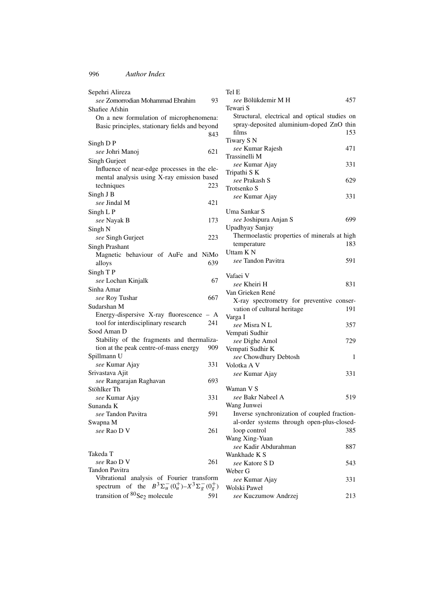| Sepehri Alireza                                |      |
|------------------------------------------------|------|
| see Zomorrodian Mohammad Ebrahim               | 93   |
| Shafiee Afshin                                 |      |
| On a new formulation of microphenomena:        |      |
| Basic principles, stationary fields and beyond | 843  |
| Singh D P                                      |      |
| see Johri Manoj                                | 621  |
| Singh Gurjeet                                  |      |
| Influence of near-edge processes in the ele-   |      |
| mental analysis using X-ray emission based     |      |
| techniques                                     | 223  |
| Singh J B                                      |      |
| see Jindal M                                   | 421  |
| Singh L P                                      |      |
| see Nayak B                                    | 173  |
| Singh N                                        |      |
| see Singh Gurjeet                              | 223  |
| <b>Singh Prashant</b>                          |      |
| Magnetic behaviour of AuFe and                 | NiMo |
| alloys                                         | 639  |
| Singh T P                                      | 67   |
| see Lochan Kinjalk                             |      |
| Sinha Amar<br>see Roy Tushar                   | 667  |
| Sudarshan M                                    |      |
| Energy-dispersive X-ray fluorescence - A       |      |
| tool for interdisciplinary research            | 241  |
| Sood Aman D                                    |      |
| Stability of the fragments and thermaliza-     |      |
| tion at the peak centre-of-mass energy         | 909  |
| Spillmann U                                    |      |
| see Kumar Ajay                                 | 331  |
| Srivastava Ajit                                |      |
| see Rangarajan Raghavan                        | 693  |
| Stöhlker Th<br>see Kumar Ajay                  | 331  |
| Sunanda K                                      |      |
| see Tandon Pavitra                             | 591  |
| Swapna M                                       |      |
| see Rao D V                                    | 261  |
|                                                |      |
| Takeda T                                       |      |
| see Rao D V                                    | 261  |

| Tandon Pavitra                                                |     |
|---------------------------------------------------------------|-----|
| Vibrational analysis of Fourier transform                     |     |
| spectrum of the $B^3\Sigma_u^-(0_u^+) - X^3\Sigma_g^-(0_g^+)$ |     |
| transition of ${}^{80}Se_2$ molecule                          | 591 |

# Tel E

| see Bölükdemir M H<br>Tewari S                | 457 |
|-----------------------------------------------|-----|
| Structural, electrical and optical studies on |     |
| spray-deposited aluminium-doped ZnO thin      |     |
| films                                         | 153 |
| Tiwary S N                                    |     |
| see Kumar Rajesh                              | 471 |
| Trassinelli M                                 |     |
| see Kumar Ajay                                | 331 |
| Tripathi S K                                  |     |
| see Prakash S                                 | 629 |
| Trotsenko S                                   |     |
| see Kumar Ajay                                | 331 |
|                                               |     |
| Uma Sankar S                                  |     |
| see Joshipura Anjan S                         | 699 |
| Upadhyay Sanjay                               |     |
| Thermoelastic properties of minerals at high  |     |
| temperature                                   | 183 |
| Uttam K N                                     |     |
| see Tandon Pavitra                            | 591 |
|                                               |     |
| Vafaei V                                      |     |
| see Kheiri H                                  | 831 |
|                                               |     |
| Van Grieken René                              |     |
| X-ray spectrometry for preventive conser-     |     |
| vation of cultural heritage                   | 191 |
| Varga I                                       |     |
| see Misra N L                                 | 357 |
| Vempati Sudhir                                |     |
| see Dighe Amol                                | 729 |
| Vempati Sudhir K                              |     |
| see Chowdhury Debtosh                         | 1   |
| Volotka A V                                   |     |
| see Kumar Ajay                                | 331 |
|                                               |     |
| Waman V S                                     |     |
| see Bakr Nabeel A                             | 519 |
| Wang Junwei                                   |     |
| Inverse synchronization of coupled fraction-  |     |
| al-order systems through open-plus-closed-    |     |
| loop control                                  | 385 |
| Wang Xing-Yuan                                |     |
| see Kadir Abdurahman                          | 887 |
| Wankhade K S                                  |     |
| see Katore S D                                | 543 |
| Weber G                                       |     |
| see Kumar Ajay                                | 331 |
| Wolski Paweł                                  |     |

*see* Kuczumow Andrzej 213